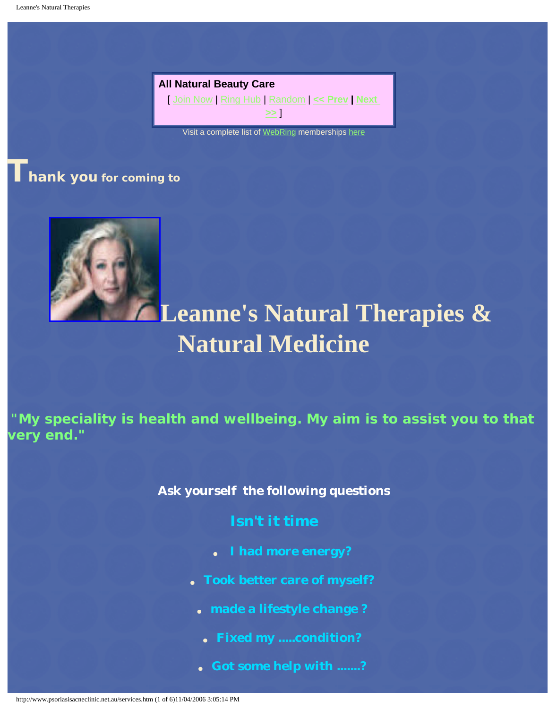**All Natural Beauty Care**  [ [Join Now](http://t.webring.com/wrman?ring=allnaturalbeaut2;sid=2;addsite) | [Ring Hub](http://t.webring.com/hub?ring=allnaturalbeaut2;sid=2;id=2&hub) | [Random](http://t.webring.com/go?ring=allnaturalbeaut2;sid=2;id=2&random) | **[<< Prev](http://t.webring.com/go?ring=allnaturalbeaut2;sid=2;id=2&prev) | [Next](http://t.webring.com/go?ring=allnaturalbeaut2;sid=2;id=2&next)  [>>](http://t.webring.com/go?ring=allnaturalbeaut2;sid=2;id=2&next)** ]

Visit a complete list of [WebRing](http://dir.webring.com/rw) memberships [here](http://ka.webring.com/navbar?f=l;y=leannewinner;u=10149968)

**Thank you for coming to** 



### **Leanne's Natural Therapies & Natural Medicine**

**"My speciality is health and wellbeing. My aim is to assist you to that very end."**

**Ask yourself the following questions** 

- **Isn't it time**
- **I had more energy?**
- **Took better care of myself?**
	- **made a lifestyle change ?**
	- **Fixed my .....condition?**
	- **Got some help with .......?**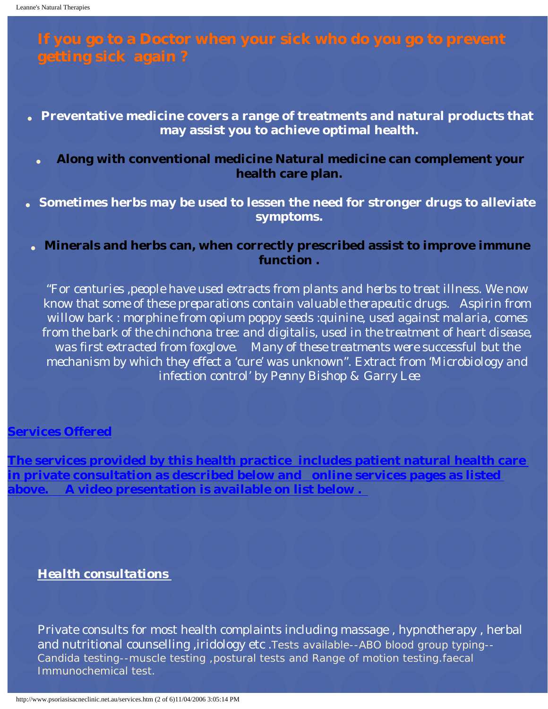## **If you go to a Doctor when your sick who do you go to prevent**

- **Preventative medicine covers a range of treatments and natural products that may assist you to achieve optimal health.** 
	- **Along with conventional medicine Natural medicine can complement your health care plan.**
- Sometimes herbs may be used to lessen the need for stronger drugs to alleviate **symptoms.**
- **Minerals and herbs can, when correctly prescribed assist to improve immune function .**

*"For centuries ,people have used extracts from plants and herbs to treat illness. We now know that some of these preparations contain valuable therapeutic drugs. Aspirin from willow bark : morphine from opium poppy seeds :quinine, used against malaria, comes from the bark of the chinchona tree: and digitalis, used in the treatment of heart disease, was first extracted from foxglove. Many of these treatments were successful but the mechanism by which they effect a 'cure' was unknown". Extract from 'Microbiology and infection control' by Penny Bishop & Garry Lee*

#### **Services Offered**

**The services provided by this health practice includes patient natural health care in private consultation as described below and online services pages as listed above. A video presentation is available on list below .** 

#### *Health consultations*

Private consults for most health complaints including massage , hypnotherapy , herbal and nutritional counselling, iridology etc. Tests available--ABO blood group typing--Candida testing--muscle testing ,postural tests and Range of motion testing.faecal Immunochemical test.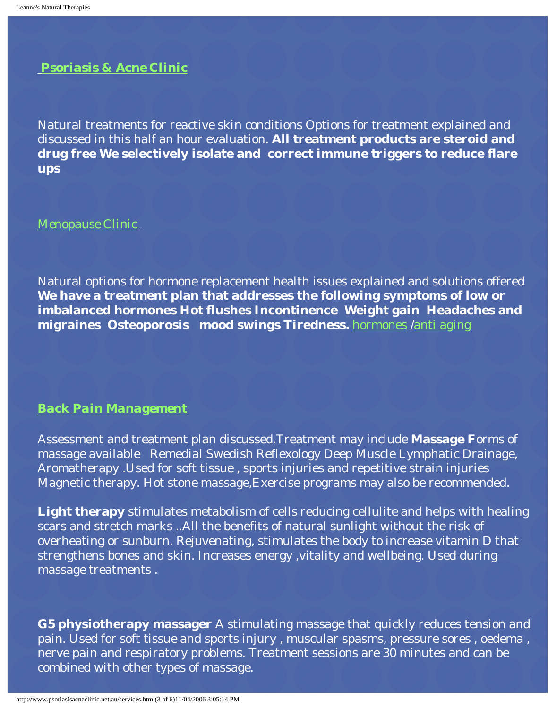*[Psoriasis & Acne Clinic](http://www.psoriasisacneclinic.net.au/serv02.htm)*

Natural treatments for reactive skin conditions Options for treatment explained and discussed in this half an hour evaluation. **All treatment products are steroid and drug free We selectively isolate and correct immune triggers to reduce flare ups** 

*[Menopause Clinic](http://www.psoriasisacneclinic.net.au/menopaus.htm)*

Natural options for hormone replacement health issues explained and solutions offered **We have a treatment plan that addresses the following symptoms of low or imbalanced hormones Hot flushes Incontinence Weight gain Headaches and migraines Osteoporosis mood swings Tiredness.** [hormones /anti aging](http://www.psoriasisacneclinic.net.au/menopaus.htm)

#### *[Back Pain Management](http://www.psoriasisacneclinic.net.au/new_page_9.htm)*

Assessment and treatment plan discussed.Treatment may include **Massage F**orms of massage available Remedial Swedish Reflexology Deep Muscle Lymphatic Drainage, Aromatherapy .Used for soft tissue , sports injuries and repetitive strain injuries Magnetic therapy. Hot stone massage,Exercise programs may also be recommended.

**Light therapy** stimulates metabolism of cells reducing cellulite and helps with healing scars and stretch marks ..All the benefits of natural sunlight without the risk of overheating or sunburn. Rejuvenating, stimulates the body to increase vitamin D that strengthens bones and skin. Increases energy ,vitality and wellbeing. Used during massage treatments .

**G5 physiotherapy massager** A stimulating massage that quickly reduces tension and pain. Used for soft tissue and sports injury , muscular spasms, pressure sores , oedema , nerve pain and respiratory problems. Treatment sessions are 30 minutes and can be combined with other types of massage.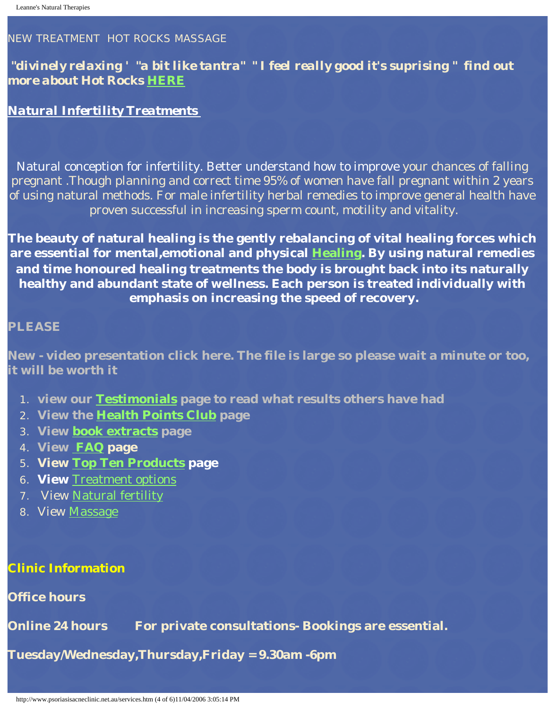#### NEW TREATMENT HOT ROCKS MASSAGE

#### *"divinely relaxing ' "a bit like tantra" " I feel really good it's suprising " find out more about Hot Rocks [HERE](http://www.psoriasisacneclinic.net.au/massage.htm)*

#### *Natural Infertility Treatments*

Natural conception for infertility. Better understand how to improve your chances of falling pregnant .Though planning and correct time 95% of women have fall pregnant within 2 years of using natural methods. For male infertility herbal remedies to improve general health have proven successful in increasing sperm count, motility and vitality.

**The beauty of natural healing is the gently rebalancing of vital healing forces which are essential for mental,emotional and physical [Healing.](http://www.psoriasisacneclinic.net.au/newpage13.htm) By using natural remedies and time honoured healing treatments the body is brought back into its naturally healthy and abundant state of wellness. Each person is treated individually with emphasis on increasing the speed of recovery.** 

#### **PLEASE**

**New - video presentation click here. The file is large so please wait a minute or too, it will be worth it** 

- 1. **view our [Testimonials](http://www.psoriasisacneclinic.net.au/newpage1.htm) page to read what results others have had**
- 2. **View the [Health Points Club](http://www.psoriasisacneclinic.net.au/health_points_club_is_a_valued_a.htm) page**
- 3. **View [book extracts](http://www.psoriasisacneclinic.net.au/serv01.htm) page**
- 4. **View [FAQ](http://www.psoriasisacneclinic.net.au/faq.htm) page**
- 5. **View [Top Ten Products](http://www.psoriasisacneclinic.net.au/products.htm) page**
- 6. **View** [Treatment options](http://www.psoriasisacneclinic.net.au/treatment_options.htm)
- 7. View [Natural fertility](http://www.psoriasisacneclinic.net.au/coming_soon.htm)
- 8. View [Massage](http://www.psoriasisacneclinic.net.au/massage.htm)

#### **Clinic Information**

#### **Office hours**

**Online 24 hours For private consultations- Bookings are essential.** 

**Tuesday/Wednesday,Thursday,Friday = 9.30am -6pm**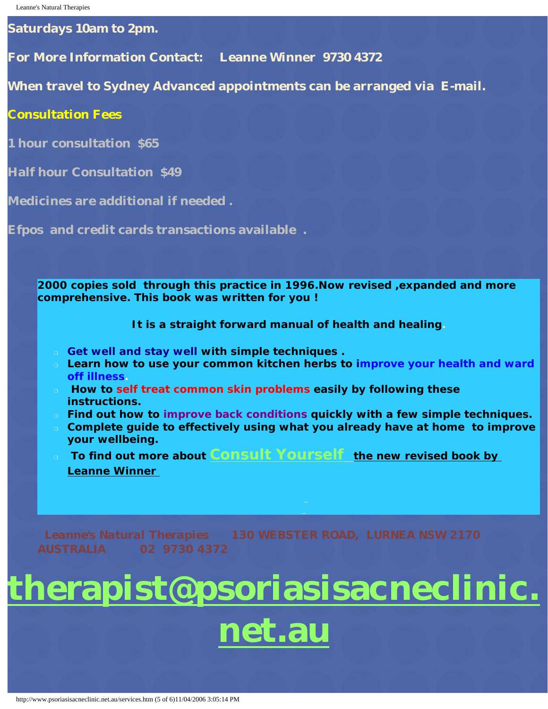**Saturdays 10am to 2pm.**

**For More Information Contact: Leanne Winner 9730 4372** 

**When travel to Sydney Advanced appointments can be arranged via E-mail.**

**Consultation Fees** 

**1 hour consultation \$65**

**Half hour Consultation \$49**

**Medicines are additional if needed .** 

**Efpos and credit cards transactions available .**

**2000 copies sold through this practice in 1996.Now revised ,expanded and more comprehensive. This book was written for you !** 

**It is a straight forward manual of health and healing.**

- ❍ **Get well and stay well with simple techniques .**
- ❍ **Learn how to use your common kitchen herbs to improve your health and ward off illness.**
- ❍ **How to self treat common skin problems easily by following these instructions.**
- ❍ **Find out how to improve back conditions quickly with a few simple techniques.**
- ❍ **Complete guide to effectively using what you already have at home to improve your wellbeing.**
- ❍ **To find out more about [Consult Yourself](http://www.psoriasisacneclinic.net.au/serv01.htm)** *the new revised book by Leanne Winner*

*Leanne's Natural Therapies 130 WEBSTER ROAD, LURNEA NSW 2170* 

# **[therapist@psoriasisacneclinic.](mailto:leannewinner2@optusnet.com.au)**

## **[net.au](mailto:leannewinner2@optusnet.com.au)**